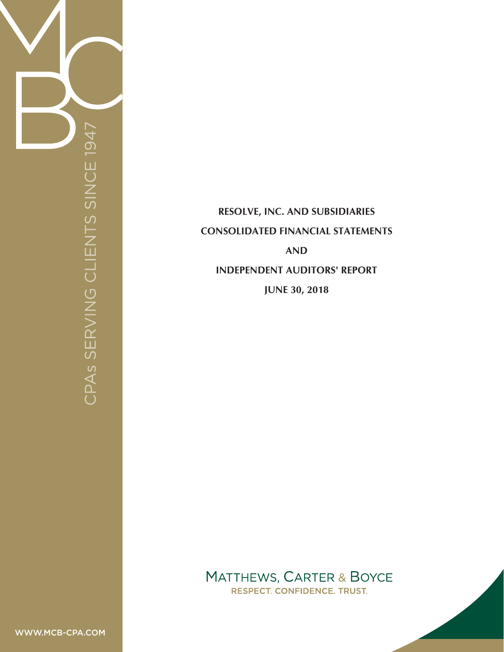

# **RESOLVE, INC. AND SUBSIDIARIES CONSOLIDATED FINANCIAL STATEMENTS AND INDEPENDENT AUDITORS' REPORT JUNE 30, 2018**

**MATTHEWS, CARTER & BOYCE RESPECT. CONFIDENCE. TRUST.**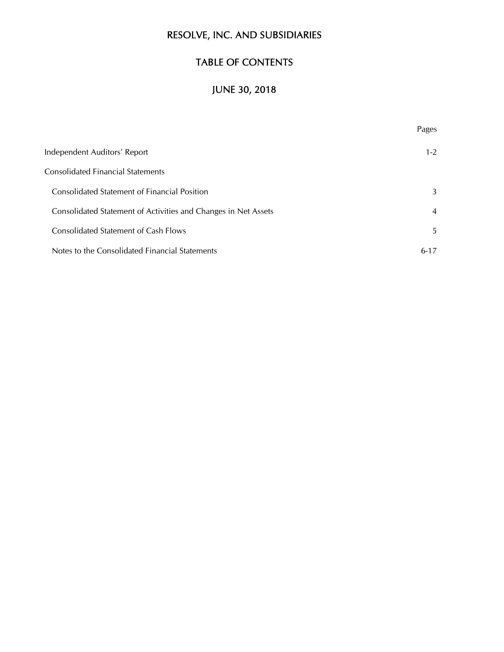## TABLE OF CONTENTS

# JUNE 30, 2018

|                                                                | Pages          |
|----------------------------------------------------------------|----------------|
| Independent Auditors' Report                                   | $1 - 2$        |
| <b>Consolidated Financial Statements</b>                       |                |
| <b>Consolidated Statement of Financial Position</b>            | 3              |
| Consolidated Statement of Activities and Changes in Net Assets | $\overline{4}$ |
| <b>Consolidated Statement of Cash Flows</b>                    | 5              |
| Notes to the Consolidated Financial Statements                 | $6 - 17$       |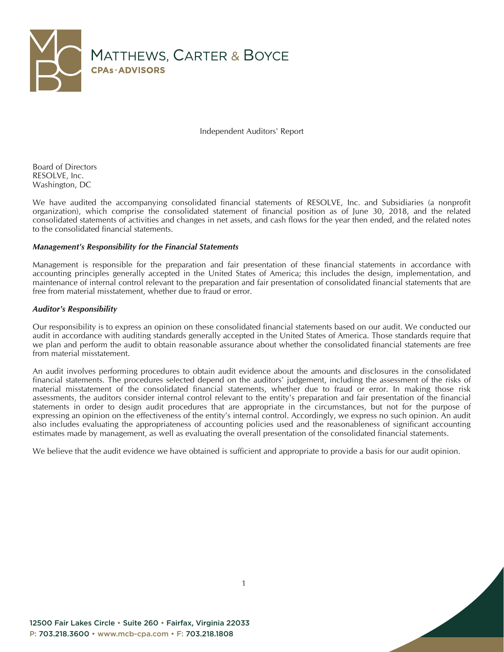

Independent Auditors' Report

Board of Directors RESOLVE, Inc. Washington, DC

We have audited the accompanying consolidated financial statements of RESOLVE, Inc. and Subsidiaries (a nonprofit organization), which comprise the consolidated statement of financial position as of June 30, 2018, and the related consolidated statements of activities and changes in net assets, and cash flows for the year then ended, and the related notes to the consolidated financial statements.

#### *Management's Responsibility for the Financial Statements*

Management is responsible for the preparation and fair presentation of these financial statements in accordance with accounting principles generally accepted in the United States of America; this includes the design, implementation, and maintenance of internal control relevant to the preparation and fair presentation of consolidated financial statements that are free from material misstatement, whether due to fraud or error.

#### *Auditor's Responsibility*

Our responsibility is to express an opinion on these consolidated financial statements based on our audit. We conducted our audit in accordance with auditing standards generally accepted in the United States of America. Those standards require that we plan and perform the audit to obtain reasonable assurance about whether the consolidated financial statements are free from material misstatement.

An audit involves performing procedures to obtain audit evidence about the amounts and disclosures in the consolidated financial statements. The procedures selected depend on the auditors' judgement, including the assessment of the risks of material misstatement of the consolidated financial statements, whether due to fraud or error. In making those risk assessments, the auditors consider internal control relevant to the entity's preparation and fair presentation of the financial statements in order to design audit procedures that are appropriate in the circumstances, but not for the purpose of expressing an opinion on the effectiveness of the entity's internal control. Accordingly, we express no such opinion. An audit also includes evaluating the appropriateness of accounting policies used and the reasonableness of significant accounting estimates made by management, as well as evaluating the overall presentation of the consolidated financial statements.

We believe that the audit evidence we have obtained is sufficient and appropriate to provide a basis for our audit opinion.

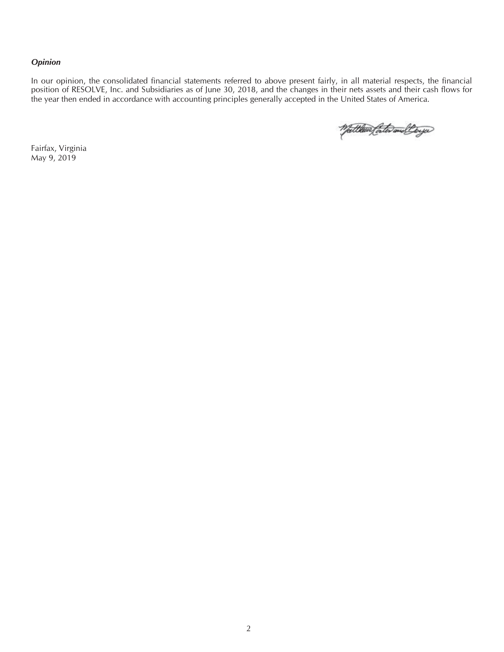#### *Opinion*

In our opinion, the consolidated financial statements referred to above present fairly, in all material respects, the financial position of RESOLVE, Inc. and Subsidiaries as of June 30, 2018, and the changes in their nets assets and their cash flows for the year then ended in accordance with accounting principles generally accepted in the United States of America.

Watthew fath welling

Fairfax, Virginia May 9, 2019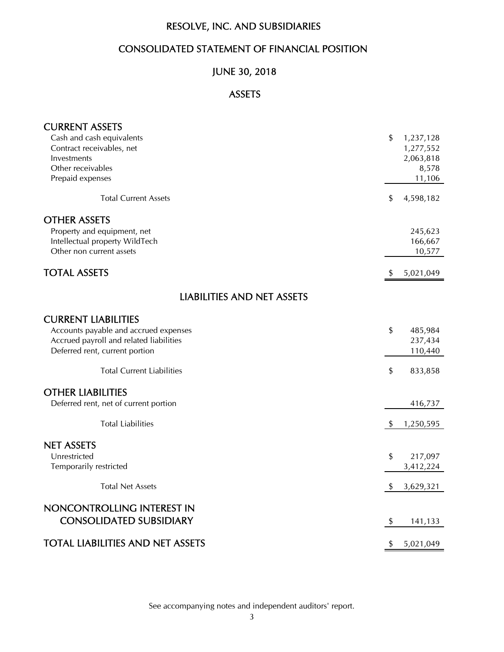## CONSOLIDATED STATEMENT OF FINANCIAL POSITION

## JUNE 30, 2018

## ASSETS

| <b>CURRENT ASSETS</b>                   |                            |
|-----------------------------------------|----------------------------|
| Cash and cash equivalents               | \$<br>1,237,128            |
| Contract receivables, net               | 1,277,552                  |
| Investments                             | 2,063,818                  |
| Other receivables                       | 8,578                      |
| Prepaid expenses                        | 11,106                     |
| <b>Total Current Assets</b>             | \$<br>4,598,182            |
| <b>OTHER ASSETS</b>                     |                            |
| Property and equipment, net             | 245,623                    |
| Intellectual property WildTech          | 166,667                    |
| Other non current assets                | 10,577                     |
| <b>TOTAL ASSETS</b>                     | 5,021,049<br><sup>\$</sup> |
|                                         |                            |
| <b>LIABILITIES AND NET ASSETS</b>       |                            |
| <b>CURRENT LIABILITIES</b>              |                            |
| Accounts payable and accrued expenses   | \$<br>485,984              |
| Accrued payroll and related liabilities | 237,434                    |
| Deferred rent, current portion          | 110,440                    |
| <b>Total Current Liabilities</b>        | \$<br>833,858              |
| <b>OTHER LIABILITIES</b>                |                            |
| Deferred rent, net of current portion   | 416,737                    |
|                                         |                            |
| <b>Total Liabilities</b>                | 1,250,595<br>\$            |
| <b>NET ASSETS</b>                       |                            |
| Unrestricted                            | \$<br>217,097              |
| Temporarily restricted                  | 3,412,224                  |
| <b>Total Net Assets</b>                 |                            |
|                                         | 3,629,321<br>\$            |
| NONCONTROLLING INTEREST IN              |                            |
| <b>CONSOLIDATED SUBSIDIARY</b>          | 141,133<br>\$              |
| <b>TOTAL LIABILITIES AND NET ASSETS</b> | \$<br>5,021,049            |
|                                         |                            |

See accompanying notes and independent auditors' report.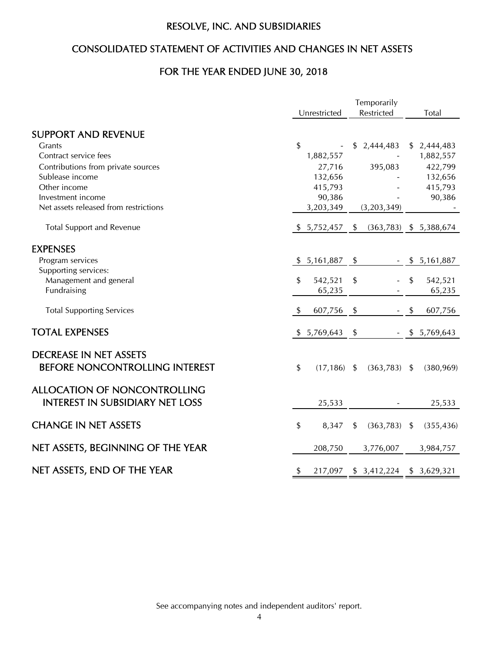## CONSOLIDATED STATEMENT OF ACTIVITIES AND CHANGES IN NET ASSETS

## FOR THE YEAR ENDED JUNE 30, 2018

|                                                                               |               |                | Temporarily               |                          |
|-------------------------------------------------------------------------------|---------------|----------------|---------------------------|--------------------------|
|                                                                               |               | Unrestricted   | Restricted                | Total                    |
| <b>SUPPORT AND REVENUE</b>                                                    |               |                |                           |                          |
| Grants                                                                        | \$            |                | \$<br>2,444,483           | \$2,444,483              |
| Contract service fees                                                         |               | 1,882,557      |                           | 1,882,557                |
| Contributions from private sources                                            |               | 27,716         | 395,083                   | 422,799                  |
| Sublease income                                                               |               | 132,656        |                           | 132,656                  |
| Other income                                                                  |               | 415,793        |                           | 415,793                  |
| Investment income                                                             |               | 90,386         |                           | 90,386                   |
| Net assets released from restrictions                                         |               | 3,203,349      | (3,203,349)               |                          |
| <b>Total Support and Revenue</b>                                              |               | \$5,752,457    | \$                        | $(363,783)$ \$ 5,388,674 |
| <b>EXPENSES</b>                                                               |               |                |                           |                          |
| Program services                                                              |               | \$5,161,887    | \$                        | \$5,161,887              |
| Supporting services:                                                          |               |                |                           |                          |
| Management and general                                                        | \$            | 542,521        | \$                        | \$<br>542,521            |
| Fundraising                                                                   |               | 65,235         |                           | 65,235                   |
| <b>Total Supporting Services</b>                                              |               | 607,756        | \$                        | \$<br>607,756            |
| <b>TOTAL EXPENSES</b>                                                         | \$            | 5,769,643      | \$                        | \$5,769,643              |
| <b>DECREASE IN NET ASSETS</b><br>BEFORE NONCONTROLLING INTEREST               | $\frac{1}{2}$ | $(17, 186)$ \$ | $(363,783)$ \$            | (380, 969)               |
| <b>ALLOCATION OF NONCONTROLLING</b><br><b>INTEREST IN SUBSIDIARY NET LOSS</b> |               | 25,533         |                           | 25,533                   |
| <b>CHANGE IN NET ASSETS</b>                                                   | \$            | 8,347          | \$<br>$(363,783)$ \$      | (355, 436)               |
| NET ASSETS, BEGINNING OF THE YEAR                                             |               | 208,750        | 3,776,007                 | 3,984,757                |
| NET ASSETS, END OF THE YEAR                                                   | \$            | 217,097        | $$3,412,224$ $$3,629,321$ |                          |

See accompanying notes and independent auditors' report.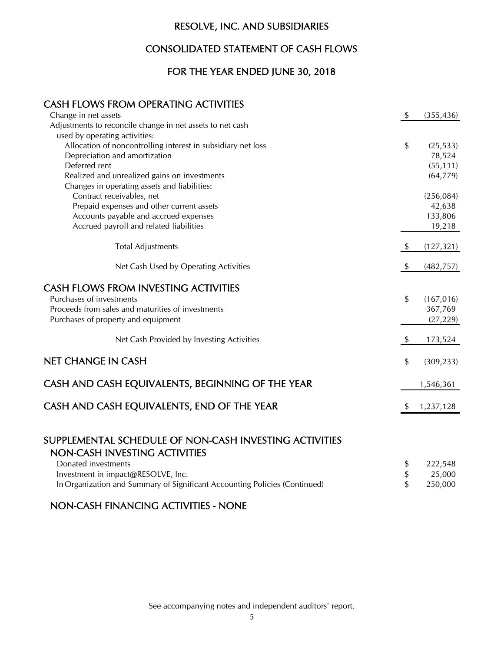## CONSOLIDATED STATEMENT OF CASH FLOWS

## FOR THE YEAR ENDED JUNE 30, 2018

## CASH FLOWS FROM OPERATING ACTIVITIES

| Change in net assets                                         | \$   | (355, 436) |
|--------------------------------------------------------------|------|------------|
| Adjustments to reconcile change in net assets to net cash    |      |            |
| used by operating activities:                                |      |            |
| Allocation of noncontrolling interest in subsidiary net loss | \$   | (25, 533)  |
| Depreciation and amortization                                |      | 78,524     |
| Deferred rent                                                |      | (55, 111)  |
| Realized and unrealized gains on investments                 |      | (64, 779)  |
| Changes in operating assets and liabilities:                 |      |            |
| Contract receivables, net                                    |      | (256, 084) |
| Prepaid expenses and other current assets                    |      | 42,638     |
| Accounts payable and accrued expenses                        |      | 133,806    |
| Accrued payroll and related liabilities                      |      | 19,218     |
| <b>Total Adjustments</b>                                     | - \$ | (127, 321) |
| Net Cash Used by Operating Activities                        | -\$  | (482, 757) |
| <b>CASH FLOWS FROM INVESTING ACTIVITIES</b>                  |      |            |
| Purchases of investments                                     | \$   | (167, 016) |
| Proceeds from sales and maturities of investments            |      | 367,769    |
| Purchases of property and equipment                          |      | (27, 229)  |
|                                                              |      |            |
| Net Cash Provided by Investing Activities                    | - \$ | 173,524    |
| NET CHANGE IN CASH                                           | \$   | (309, 233) |
|                                                              |      |            |
| CASH AND CASH EQUIVALENTS, BEGINNING OF THE YEAR             |      | 1,546,361  |
| CASH AND CASH EQUIVALENTS, END OF THE YEAR                   |      | 1,237,128  |
|                                                              |      |            |

## SUPPLEMENTAL SCHEDULE OF NON-CASH INVESTING ACTIVITIES NON-CASH INVESTING ACTIVITIES

| Donated investments                                                        | 222,548 |
|----------------------------------------------------------------------------|---------|
| Investment in impact@RESOLVE, Inc.                                         | 25.000  |
| In Organization and Summary of Significant Accounting Policies (Continued) | 250.000 |

## NON-CASH FINANCING ACTIVITIES - NONE

See accompanying notes and independent auditors' report.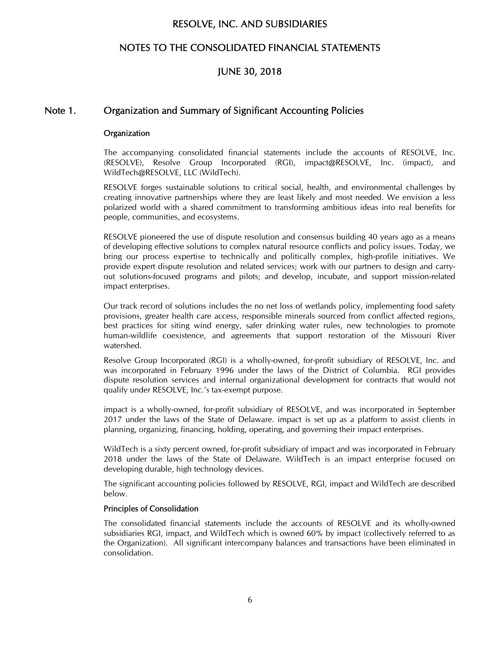## NOTES TO THE CONSOLIDATED FINANCIAL STATEMENTS

## JUNE 30, 2018

### Note 1. Organization and Summary of Significant Accounting Policies

#### **Organization**

The accompanying consolidated financial statements include the accounts of RESOLVE, Inc. (RESOLVE), Resolve Group Incorporated (RGI), impact@RESOLVE, Inc. (impact), and WildTech@RESOLVE, LLC (WildTech).

RESOLVE forges sustainable solutions to critical social, health, and environmental challenges by creating innovative partnerships where they are least likely and most needed. We envision a less polarized world with a shared commitment to transforming ambitious ideas into real benefits for people, communities, and ecosystems.

RESOLVE pioneered the use of dispute resolution and consensus building 40 years ago as a means of developing effective solutions to complex natural resource conflicts and policy issues. Today, we bring our process expertise to technically and politically complex, high-profile initiatives. We provide expert dispute resolution and related services; work with our partners to design and carryout solutions-focused programs and pilots; and develop, incubate, and support mission-related impact enterprises.

Our track record of solutions includes the no net loss of wetlands policy, implementing food safety provisions, greater health care access, responsible minerals sourced from conflict affected regions, best practices for siting wind energy, safer drinking water rules, new technologies to promote human-wildlife coexistence, and agreements that support restoration of the Missouri River watershed.

Resolve Group Incorporated (RGI) is a wholly-owned, for-profit subsidiary of RESOLVE, Inc. and was incorporated in February 1996 under the laws of the District of Columbia. RGI provides dispute resolution services and internal organizational development for contracts that would not qualify under RESOLVE, Inc.'s tax-exempt purpose.

impact is a wholly-owned, for-profit subsidiary of RESOLVE, and was incorporated in September 2017 under the laws of the State of Delaware. impact is set up as a platform to assist clients in planning, organizing, financing, holding, operating, and governing their impact enterprises.

WildTech is a sixty percent owned, for-profit subsidiary of impact and was incorporated in February 2018 under the laws of the State of Delaware. WildTech is an impact enterprise focused on developing durable, high technology devices.

The significant accounting policies followed by RESOLVE, RGI, impact and WildTech are described below.

#### Principles of Consolidation

The consolidated financial statements include the accounts of RESOLVE and its wholly-owned subsidiaries RGI, impact, and WildTech which is owned 60% by impact (collectively referred to as the Organization). All significant intercompany balances and transactions have been eliminated in consolidation.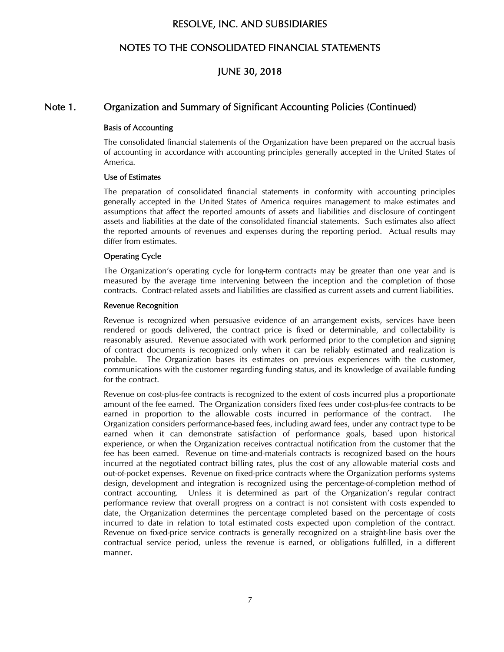## NOTES TO THE CONSOLIDATED FINANCIAL STATEMENTS

## JUNE 30, 2018

### Note 1. Organization and Summary of Significant Accounting Policies (Continued)

#### Basis of Accounting

The consolidated financial statements of the Organization have been prepared on the accrual basis of accounting in accordance with accounting principles generally accepted in the United States of America.

#### Use of Estimates

The preparation of consolidated financial statements in conformity with accounting principles generally accepted in the United States of America requires management to make estimates and assumptions that affect the reported amounts of assets and liabilities and disclosure of contingent assets and liabilities at the date of the consolidated financial statements. Such estimates also affect the reported amounts of revenues and expenses during the reporting period. Actual results may differ from estimates.

#### Operating Cycle

The Organization's operating cycle for long-term contracts may be greater than one year and is measured by the average time intervening between the inception and the completion of those contracts. Contract-related assets and liabilities are classified as current assets and current liabilities.

#### Revenue Recognition

Revenue is recognized when persuasive evidence of an arrangement exists, services have been rendered or goods delivered, the contract price is fixed or determinable, and collectability is reasonably assured. Revenue associated with work performed prior to the completion and signing of contract documents is recognized only when it can be reliably estimated and realization is probable. The Organization bases its estimates on previous experiences with the customer, communications with the customer regarding funding status, and its knowledge of available funding for the contract.

Revenue on cost-plus-fee contracts is recognized to the extent of costs incurred plus a proportionate amount of the fee earned. The Organization considers fixed fees under cost-plus-fee contracts to be earned in proportion to the allowable costs incurred in performance of the contract. The Organization considers performance-based fees, including award fees, under any contract type to be earned when it can demonstrate satisfaction of performance goals, based upon historical experience, or when the Organization receives contractual notification from the customer that the fee has been earned. Revenue on time-and-materials contracts is recognized based on the hours incurred at the negotiated contract billing rates, plus the cost of any allowable material costs and out-of-pocket expenses. Revenue on fixed-price contracts where the Organization performs systems design, development and integration is recognized using the percentage-of-completion method of contract accounting. Unless it is determined as part of the Organization's regular contract performance review that overall progress on a contract is not consistent with costs expended to date, the Organization determines the percentage completed based on the percentage of costs incurred to date in relation to total estimated costs expected upon completion of the contract. Revenue on fixed-price service contracts is generally recognized on a straight-line basis over the contractual service period, unless the revenue is earned, or obligations fulfilled, in a different manner.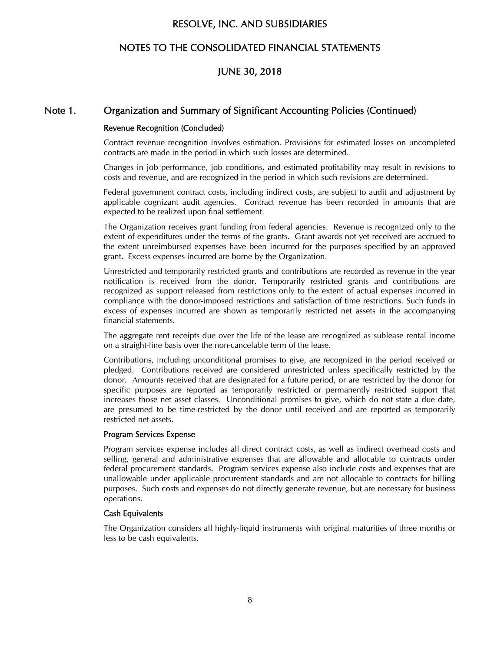## NOTES TO THE CONSOLIDATED FINANCIAL STATEMENTS

## JUNE 30, 2018

#### Note 1. Organization and Summary of Significant Accounting Policies (Continued)

# Revenue Recognition (Concluded)

Contract revenue recognition involves estimation. Provisions for estimated losses on uncompleted contracts are made in the period in which such losses are determined.

Changes in job performance, job conditions, and estimated profitability may result in revisions to costs and revenue, and are recognized in the period in which such revisions are determined.

Federal government contract costs, including indirect costs, are subject to audit and adjustment by applicable cognizant audit agencies. Contract revenue has been recorded in amounts that are expected to be realized upon final settlement.

The Organization receives grant funding from federal agencies. Revenue is recognized only to the extent of expenditures under the terms of the grants. Grant awards not yet received are accrued to the extent unreimbursed expenses have been incurred for the purposes specified by an approved grant. Excess expenses incurred are borne by the Organization.

Unrestricted and temporarily restricted grants and contributions are recorded as revenue in the year notification is received from the donor. Temporarily restricted grants and contributions are recognized as support released from restrictions only to the extent of actual expenses incurred in compliance with the donor-imposed restrictions and satisfaction of time restrictions. Such funds in excess of expenses incurred are shown as temporarily restricted net assets in the accompanying financial statements.

The aggregate rent receipts due over the life of the lease are recognized as sublease rental income on a straight-line basis over the non-cancelable term of the lease.

Contributions, including unconditional promises to give, are recognized in the period received or pledged. Contributions received are considered unrestricted unless specifically restricted by the donor. Amounts received that are designated for a future period, or are restricted by the donor for specific purposes are reported as temporarily restricted or permanently restricted support that increases those net asset classes. Unconditional promises to give, which do not state a due date, are presumed to be time-restricted by the donor until received and are reported as temporarily restricted net assets.

#### Program Services Expense

Program services expense includes all direct contract costs, as well as indirect overhead costs and selling, general and administrative expenses that are allowable and allocable to contracts under federal procurement standards. Program services expense also include costs and expenses that are unallowable under applicable procurement standards and are not allocable to contracts for billing purposes. Such costs and expenses do not directly generate revenue, but are necessary for business operations.

#### Cash Equivalents

The Organization considers all highly-liquid instruments with original maturities of three months or less to be cash equivalents.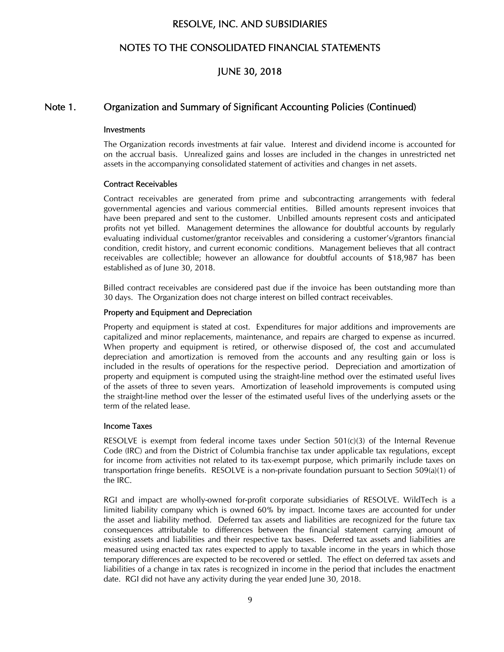## NOTES TO THE CONSOLIDATED FINANCIAL STATEMENTS

## JUNE 30, 2018

### Note 1. Organization and Summary of Significant Accounting Policies (Continued)

#### Investments

The Organization records investments at fair value. Interest and dividend income is accounted for on the accrual basis. Unrealized gains and losses are included in the changes in unrestricted net assets in the accompanying consolidated statement of activities and changes in net assets.

#### Contract Receivables

Contract receivables are generated from prime and subcontracting arrangements with federal governmental agencies and various commercial entities. Billed amounts represent invoices that have been prepared and sent to the customer. Unbilled amounts represent costs and anticipated profits not yet billed. Management determines the allowance for doubtful accounts by regularly evaluating individual customer/grantor receivables and considering a customer's/grantors financial condition, credit history, and current economic conditions. Management believes that all contract receivables are collectible; however an allowance for doubtful accounts of \$18,987 has been established as of June 30, 2018.

Billed contract receivables are considered past due if the invoice has been outstanding more than 30 days. The Organization does not charge interest on billed contract receivables.

#### Property and Equipment and Depreciation

Property and equipment is stated at cost. Expenditures for major additions and improvements are capitalized and minor replacements, maintenance, and repairs are charged to expense as incurred. When property and equipment is retired, or otherwise disposed of, the cost and accumulated depreciation and amortization is removed from the accounts and any resulting gain or loss is included in the results of operations for the respective period. Depreciation and amortization of property and equipment is computed using the straight-line method over the estimated useful lives of the assets of three to seven years. Amortization of leasehold improvements is computed using the straight-line method over the lesser of the estimated useful lives of the underlying assets or the term of the related lease.

#### Income Taxes

RESOLVE is exempt from federal income taxes under Section 501(c)(3) of the Internal Revenue Code (IRC) and from the District of Columbia franchise tax under applicable tax regulations, except for income from activities not related to its tax-exempt purpose, which primarily include taxes on transportation fringe benefits. RESOLVE is a non-private foundation pursuant to Section 509(a)(1) of the IRC.

RGI and impact are wholly-owned for-profit corporate subsidiaries of RESOLVE. WildTech is a limited liability company which is owned 60% by impact. Income taxes are accounted for under the asset and liability method. Deferred tax assets and liabilities are recognized for the future tax consequences attributable to differences between the financial statement carrying amount of existing assets and liabilities and their respective tax bases. Deferred tax assets and liabilities are measured using enacted tax rates expected to apply to taxable income in the years in which those temporary differences are expected to be recovered or settled. The effect on deferred tax assets and liabilities of a change in tax rates is recognized in income in the period that includes the enactment date. RGI did not have any activity during the year ended June 30, 2018.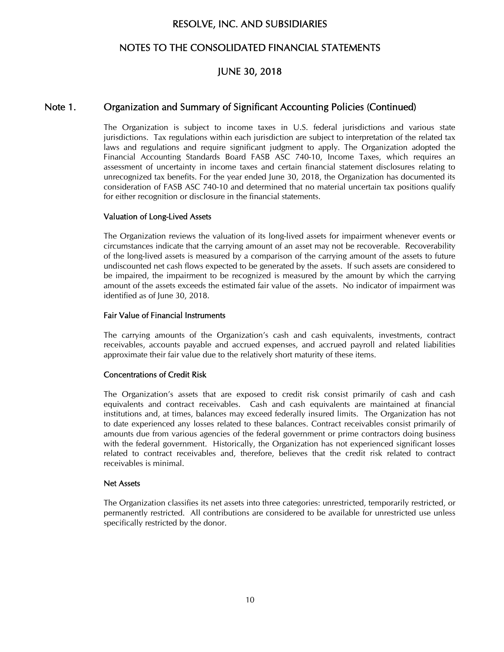## NOTES TO THE CONSOLIDATED FINANCIAL STATEMENTS

## JUNE 30, 2018

## Note 1. Organization and Summary of Significant Accounting Policies (Continued)

The Organization is subject to income taxes in U.S. federal jurisdictions and various state jurisdictions. Tax regulations within each jurisdiction are subject to interpretation of the related tax laws and regulations and require significant judgment to apply. The Organization adopted the Financial Accounting Standards Board FASB ASC 740-10, Income Taxes, which requires an assessment of uncertainty in income taxes and certain financial statement disclosures relating to unrecognized tax benefits. For the year ended June 30, 2018, the Organization has documented its consideration of FASB ASC 740-10 and determined that no material uncertain tax positions qualify for either recognition or disclosure in the financial statements.

#### Valuation of Long-Lived Assets

The Organization reviews the valuation of its long-lived assets for impairment whenever events or circumstances indicate that the carrying amount of an asset may not be recoverable. Recoverability of the long-lived assets is measured by a comparison of the carrying amount of the assets to future undiscounted net cash flows expected to be generated by the assets. If such assets are considered to be impaired, the impairment to be recognized is measured by the amount by which the carrying amount of the assets exceeds the estimated fair value of the assets. No indicator of impairment was identified as of June 30, 2018.

#### Fair Value of Financial Instruments

The carrying amounts of the Organization's cash and cash equivalents, investments, contract receivables, accounts payable and accrued expenses, and accrued payroll and related liabilities approximate their fair value due to the relatively short maturity of these items.

#### Concentrations of Credit Risk

The Organization's assets that are exposed to credit risk consist primarily of cash and cash equivalents and contract receivables. Cash and cash equivalents are maintained at financial institutions and, at times, balances may exceed federally insured limits. The Organization has not to date experienced any losses related to these balances. Contract receivables consist primarily of amounts due from various agencies of the federal government or prime contractors doing business with the federal government. Historically, the Organization has not experienced significant losses related to contract receivables and, therefore, believes that the credit risk related to contract receivables is minimal.

#### Net Assets

The Organization classifies its net assets into three categories: unrestricted, temporarily restricted, or permanently restricted. All contributions are considered to be available for unrestricted use unless specifically restricted by the donor.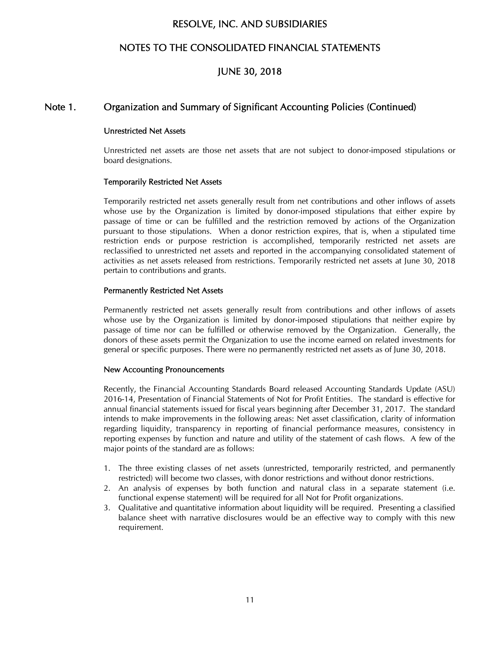## NOTES TO THE CONSOLIDATED FINANCIAL STATEMENTS

## JUNE 30, 2018

## Note 1. Organization and Summary of Significant Accounting Policies (Continued)

#### Unrestricted Net Assets

Unrestricted net assets are those net assets that are not subject to donor-imposed stipulations or board designations.

#### Temporarily Restricted Net Assets

Temporarily restricted net assets generally result from net contributions and other inflows of assets whose use by the Organization is limited by donor-imposed stipulations that either expire by passage of time or can be fulfilled and the restriction removed by actions of the Organization pursuant to those stipulations. When a donor restriction expires, that is, when a stipulated time restriction ends or purpose restriction is accomplished, temporarily restricted net assets are reclassified to unrestricted net assets and reported in the accompanying consolidated statement of activities as net assets released from restrictions. Temporarily restricted net assets at June 30, 2018 pertain to contributions and grants.

#### Permanently Restricted Net Assets

Permanently restricted net assets generally result from contributions and other inflows of assets whose use by the Organization is limited by donor-imposed stipulations that neither expire by passage of time nor can be fulfilled or otherwise removed by the Organization. Generally, the donors of these assets permit the Organization to use the income earned on related investments for general or specific purposes. There were no permanently restricted net assets as of June 30, 2018.

#### New Accounting Pronouncements

Recently, the Financial Accounting Standards Board released Accounting Standards Update (ASU) 2016-14, Presentation of Financial Statements of Not for Profit Entities. The standard is effective for annual financial statements issued for fiscal years beginning after December 31, 2017. The standard intends to make improvements in the following areas: Net asset classification, clarity of information regarding liquidity, transparency in reporting of financial performance measures, consistency in reporting expenses by function and nature and utility of the statement of cash flows. A few of the major points of the standard are as follows:

- 1. The three existing classes of net assets (unrestricted, temporarily restricted, and permanently restricted) will become two classes, with donor restrictions and without donor restrictions.
- 2. An analysis of expenses by both function and natural class in a separate statement (i.e. functional expense statement) will be required for all Not for Profit organizations.
- 3. Qualitative and quantitative information about liquidity will be required. Presenting a classified balance sheet with narrative disclosures would be an effective way to comply with this new requirement.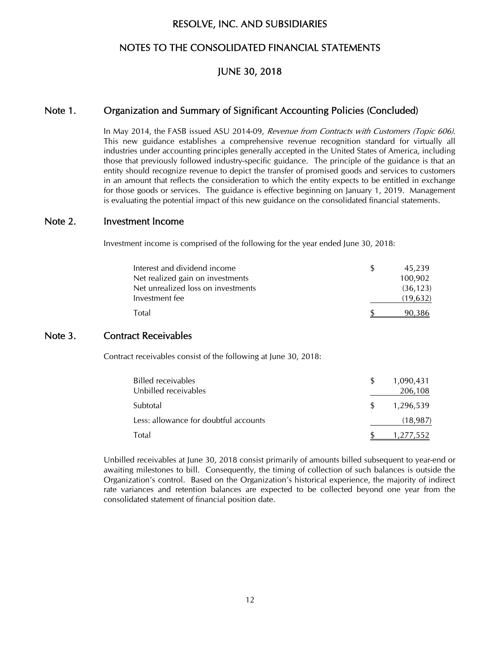## NOTES TO THE CONSOLIDATED FINANCIAL STATEMENTS

### JUNE 30, 2018

#### Note 1. Organization and Summary of Significant Accounting Policies (Concluded)

In May 2014, the FASB issued ASU 2014-09, Revenue from Contracts with Customers (Topic 606). This new guidance establishes a comprehensive revenue recognition standard for virtually all industries under accounting principles generally accepted in the United States of America, including those that previously followed industry-specific guidance. The principle of the guidance is that an entity should recognize revenue to depict the transfer of promised goods and services to customers in an amount that reflects the consideration to which the entity expects to be entitled in exchange for those goods or services. The guidance is effective beginning on January 1, 2019. Management is evaluating the potential impact of this new guidance on the consolidated financial statements.

#### Note 2. Investment Income

Investment income is comprised of the following for the year ended June 30, 2018:

| Interest and dividend income       | 45,239    |
|------------------------------------|-----------|
| Net realized gain on investments   | 100,902   |
| Net unrealized loss on investments | (36, 123) |
| Investment fee                     | (19,632)  |
| Total                              | 90,386    |

### Note 3. Contract Receivables

Contract receivables consist of the following at June 30, 2018:

| Billed receivables<br>Unbilled receivables | S   | 1,090,431<br>206,108 |
|--------------------------------------------|-----|----------------------|
| Subtotal                                   | \$. | 1,296,539            |
| Less: allowance for doubtful accounts      |     | (18, 987)            |
| Total                                      |     | 552.′                |

Unbilled receivables at June 30, 2018 consist primarily of amounts billed subsequent to year-end or awaiting milestones to bill. Consequently, the timing of collection of such balances is outside the Organization's control. Based on the Organization's historical experience, the majority of indirect rate variances and retention balances are expected to be collected beyond one year from the consolidated statement of financial position date.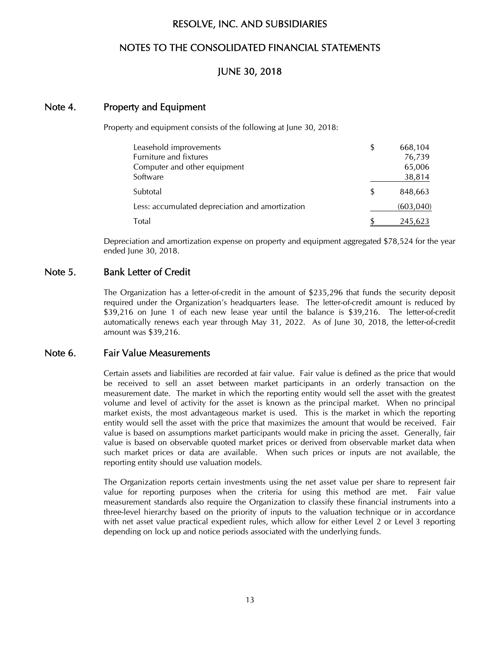## NOTES TO THE CONSOLIDATED FINANCIAL STATEMENTS

## JUNE 30, 2018

## Note 4. Property and Equipment

Property and equipment consists of the following at June 30, 2018:

| Leasehold improvements                          | \$<br>668,104 |
|-------------------------------------------------|---------------|
| Furniture and fixtures                          | 76,739        |
| Computer and other equipment                    | 65,006        |
| Software                                        | 38,814        |
| Subtotal                                        | \$<br>848,663 |
| Less: accumulated depreciation and amortization | (603, 040)    |
| Total                                           | 245,623       |

Depreciation and amortization expense on property and equipment aggregated \$78,524 for the year ended June 30, 2018.

### Note 5. Bank Letter of Credit

The Organization has a letter-of-credit in the amount of \$235,296 that funds the security deposit required under the Organization's headquarters lease. The letter-of-credit amount is reduced by \$39,216 on June 1 of each new lease year until the balance is \$39,216. The letter-of-credit automatically renews each year through May 31, 2022. As of June 30, 2018, the letter-of-credit amount was \$39,216.

### Note 6. Fair Value Measurements

Certain assets and liabilities are recorded at fair value. Fair value is defined as the price that would be received to sell an asset between market participants in an orderly transaction on the measurement date. The market in which the reporting entity would sell the asset with the greatest volume and level of activity for the asset is known as the principal market. When no principal market exists, the most advantageous market is used. This is the market in which the reporting entity would sell the asset with the price that maximizes the amount that would be received. Fair value is based on assumptions market participants would make in pricing the asset. Generally, fair value is based on observable quoted market prices or derived from observable market data when such market prices or data are available. When such prices or inputs are not available, the reporting entity should use valuation models.

The Organization reports certain investments using the net asset value per share to represent fair value for reporting purposes when the criteria for using this method are met. Fair value measurement standards also require the Organization to classify these financial instruments into a three-level hierarchy based on the priority of inputs to the valuation technique or in accordance with net asset value practical expedient rules, which allow for either Level 2 or Level 3 reporting depending on lock up and notice periods associated with the underlying funds.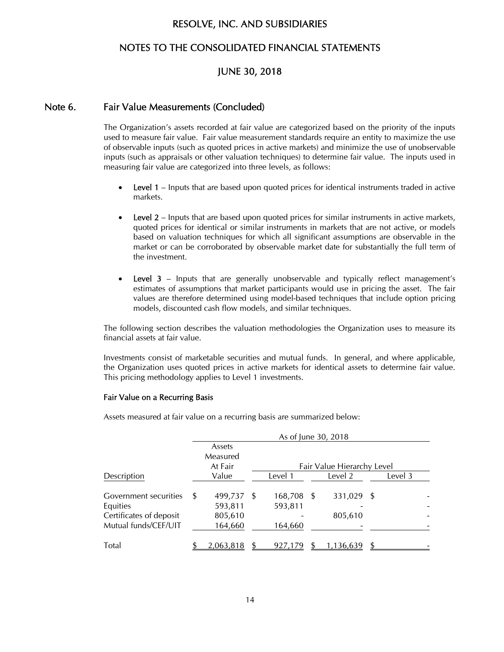## NOTES TO THE CONSOLIDATED FINANCIAL STATEMENTS

## JUNE 30, 2018

## Note 6. Fair Value Measurements (Concluded)

The Organization's assets recorded at fair value are categorized based on the priority of the inputs used to measure fair value. Fair value measurement standards require an entity to maximize the use of observable inputs (such as quoted prices in active markets) and minimize the use of unobservable inputs (such as appraisals or other valuation techniques) to determine fair value. The inputs used in measuring fair value are categorized into three levels, as follows:

- Level 1 Inputs that are based upon quoted prices for identical instruments traded in active markets.
- Level 2 Inputs that are based upon quoted prices for similar instruments in active markets, quoted prices for identical or similar instruments in markets that are not active, or models based on valuation techniques for which all significant assumptions are observable in the market or can be corroborated by observable market date for substantially the full term of the investment.
- Level 3 Inputs that are generally unobservable and typically reflect management's estimates of assumptions that market participants would use in pricing the asset. The fair values are therefore determined using model-based techniques that include option pricing models, discounted cash flow models, and similar techniques.

The following section describes the valuation methodologies the Organization uses to measure its financial assets at fair value.

Investments consist of marketable securities and mutual funds. In general, and where applicable, the Organization uses quoted prices in active markets for identical assets to determine fair value. This pricing methodology applies to Level 1 investments.

#### Fair Value on a Recurring Basis

Assets measured at fair value on a recurring basis are summarized below:

|                              | As of June 30, 2018 |  |         |      |                            |  |         |  |
|------------------------------|---------------------|--|---------|------|----------------------------|--|---------|--|
|                              | Assets              |  |         |      |                            |  |         |  |
|                              | Measured            |  |         |      |                            |  |         |  |
|                              | At Fair             |  |         |      | Fair Value Hierarchy Level |  |         |  |
| Description                  | Value               |  | Level 1 |      | Level 2                    |  | Level 3 |  |
| <b>Government securities</b> | \$<br>499,737 \$    |  | 168,708 | - \$ | 331,029 \$                 |  |         |  |
| Equities                     | 593,811             |  | 593,811 |      |                            |  |         |  |
| Certificates of deposit      | 805,610             |  |         |      | 805,610                    |  |         |  |
| Mutual funds/CEF/UIT         | 164,660             |  | 164,660 |      |                            |  |         |  |
| <b>Total</b>                 | 2,063,818           |  | 927.179 |      | ,136,639                   |  |         |  |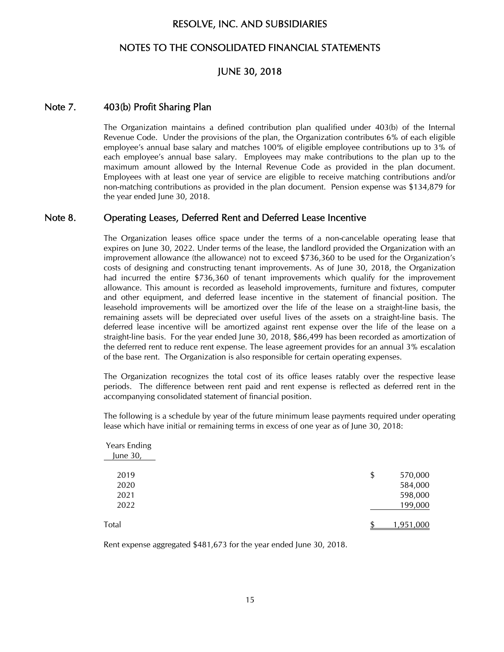## NOTES TO THE CONSOLIDATED FINANCIAL STATEMENTS

## JUNE 30, 2018

#### Note 7. 403(b) Profit Sharing Plan

The Organization maintains a defined contribution plan qualified under 403(b) of the Internal Revenue Code. Under the provisions of the plan, the Organization contributes 6% of each eligible employee's annual base salary and matches 100% of eligible employee contributions up to 3% of each employee's annual base salary. Employees may make contributions to the plan up to the maximum amount allowed by the Internal Revenue Code as provided in the plan document. Employees with at least one year of service are eligible to receive matching contributions and/or non-matching contributions as provided in the plan document. Pension expense was \$134,879 for the year ended June 30, 2018.

### Note 8. Operating Leases, Deferred Rent and Deferred Lease Incentive

The Organization leases office space under the terms of a non-cancelable operating lease that expires on June 30, 2022. Under terms of the lease, the landlord provided the Organization with an improvement allowance (the allowance) not to exceed \$736,360 to be used for the Organization's costs of designing and constructing tenant improvements. As of June 30, 2018, the Organization had incurred the entire \$736,360 of tenant improvements which qualify for the improvement allowance. This amount is recorded as leasehold improvements, furniture and fixtures, computer and other equipment, and deferred lease incentive in the statement of financial position. The leasehold improvements will be amortized over the life of the lease on a straight-line basis, the remaining assets will be depreciated over useful lives of the assets on a straight-line basis. The deferred lease incentive will be amortized against rent expense over the life of the lease on a straight-line basis. For the year ended June 30, 2018, \$86,499 has been recorded as amortization of the deferred rent to reduce rent expense. The lease agreement provides for an annual 3% escalation of the base rent. The Organization is also responsible for certain operating expenses.

The Organization recognizes the total cost of its office leases ratably over the respective lease periods. The difference between rent paid and rent expense is reflected as deferred rent in the accompanying consolidated statement of financial position.

The following is a schedule by year of the future minimum lease payments required under operating lease which have initial or remaining terms in excess of one year as of June 30, 2018:

| Years Ending<br>June 30, |               |
|--------------------------|---------------|
| 2019                     | 570,000<br>\$ |
| 2020                     | 584,000       |
| 2021                     | 598,000       |
| 2022                     | 199,000       |
| Total                    | 1,951,000     |

Rent expense aggregated \$481,673 for the year ended June 30, 2018.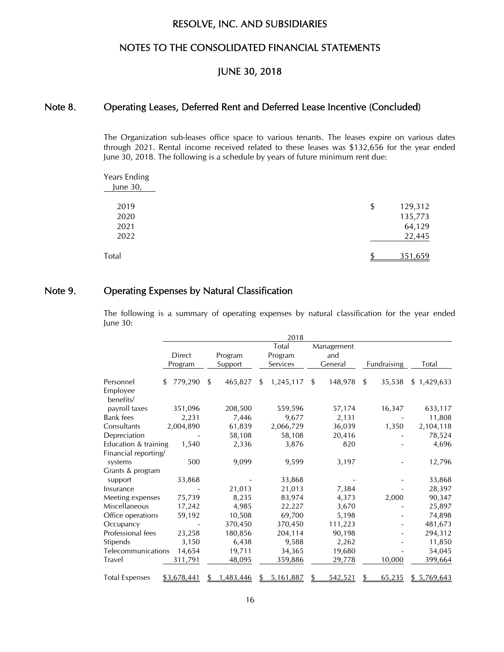## NOTES TO THE CONSOLIDATED FINANCIAL STATEMENTS

## JUNE 30, 2018

## Note 8. Operating Leases, Deferred Rent and Deferred Lease Incentive (Concluded)

The Organization sub-leases office space to various tenants. The leases expire on various dates through 2021. Rental income received related to these leases was \$132,656 for the year ended June 30, 2018. The following is a schedule by years of future minimum rent due:

| Years Ending<br>June 30, |               |
|--------------------------|---------------|
| 2019                     | 129,312<br>\$ |
| 2020                     | 135,773       |
| 2021                     | 64,129        |
| 2022                     | 22,445        |
| Total                    | 351,659<br>ጥ  |

## Note 9. Operating Expenses by Natural Classification

The following is a summary of operating expenses by natural classification for the year ended June 30:

|                       |                |               | 2018            |               |              |             |
|-----------------------|----------------|---------------|-----------------|---------------|--------------|-------------|
|                       |                |               | Total           | Management    |              |             |
|                       | <b>Direct</b>  | Program       | Program         | and           |              |             |
|                       | Program        | Support       | Services        | General       | Fundraising  | Total       |
| Personnel             | 779,290<br>\$. | 465,827<br>\$ | 1,245,117<br>\$ | 148,978<br>\$ | 35,538<br>\$ | \$1,429,633 |
| Employee<br>benefits/ |                |               |                 |               |              |             |
| payroll taxes         | 351,096        | 208,500       | 559,596         | 57,174        | 16,347       | 633,117     |
| Bank fees             | 2,231          | 7,446         | 9,677           | 2,131         |              | 11,808      |
| Consultants           | 2,004,890      | 61,839        | 2,066,729       | 36,039        | 1,350        | 2,104,118   |
| Depreciation          |                | 58,108        | 58,108          | 20,416        |              | 78,524      |
| Education & training  | 1,540          | 2,336         | 3,876           | 820           |              | 4,696       |
| Financial reporting/  |                |               |                 |               |              |             |
| systems               | 500            | 9,099         | 9,599           | 3,197         |              | 12,796      |
| Grants & program      |                |               |                 |               |              |             |
| support               | 33,868         |               | 33,868          |               |              | 33,868      |
| Insurance             |                | 21,013        | 21,013          | 7,384         |              | 28,397      |
| Meeting expenses      | 75,739         | 8,235         | 83,974          | 4,373         | 2,000        | 90,347      |
| Miscellaneous         | 17,242         | 4,985         | 22,227          | 3,670         |              | 25,897      |
| Office operations     | 59,192         | 10,508        | 69,700          | 5,198         |              | 74,898      |
| Occupancy             |                | 370,450       | 370,450         | 111,223       |              | 481,673     |
| Professional fees     | 23,258         | 180,856       | 204,114         | 90,198        |              | 294,312     |
| Stipends              | 3,150          | 6,438         | 9,588           | 2,262         |              | 11,850      |
| Telecommunications    | 14,654         | 19,711        | 34,365          | 19,680        |              | 54,045      |
| Travel                | 311,791        | 48,095        | 359,886         | 29,778        | 10,000       | 399,664     |
| <b>Total Expenses</b> | \$3,678,441    | 1,483,446     | 5,161,887       | 542,521       | 65,235       | \$5,769,643 |